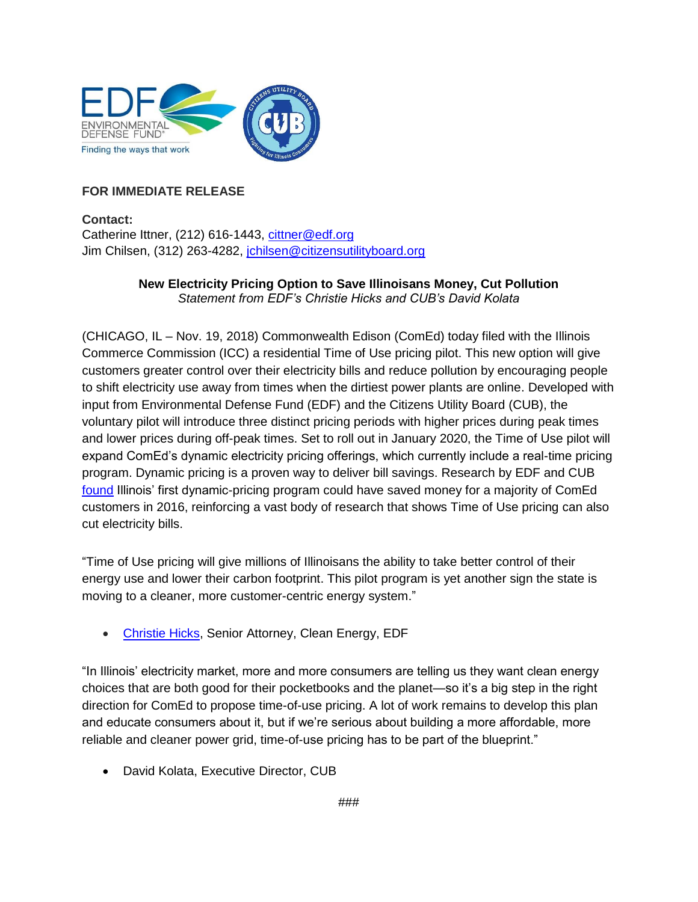

## **FOR IMMEDIATE RELEASE**

**Contact:** Catherine Ittner, (212) 616-1443, [cittner@edf.org](mailto:cittner@edf.org) Jim Chilsen, (312) 263-4282, [jchilsen@citizensutilityboard.org](mailto:jchilsen@citizensutilityboard.org)

## **New Electricity Pricing Option to Save Illinoisans Money, Cut Pollution** *Statement from EDF's Christie Hicks and CUB's David Kolata*

(CHICAGO, IL – Nov. 19, 2018) Commonwealth Edison (ComEd) today filed with the Illinois Commerce Commission (ICC) a residential Time of Use pricing pilot. This new option will give customers greater control over their electricity bills and reduce pollution by encouraging people to shift electricity use away from times when the dirtiest power plants are online. Developed with input from Environmental Defense Fund (EDF) and the Citizens Utility Board (CUB), the voluntary pilot will introduce three distinct pricing periods with higher prices during peak times and lower prices during off-peak times. Set to roll out in January 2020, the Time of Use pilot will expand ComEd's dynamic electricity pricing offerings, which currently include a real-time pricing program. Dynamic pricing is a proven way to deliver bill savings. Research by EDF and CUB [found](https://citizensutilityboard.org/wp-content/uploads/2017/11/FinalRealTimePricingWhitepaper.pdf) Illinois' first dynamic-pricing program could have saved money for a majority of ComEd customers in 2016, reinforcing a vast body of research that shows Time of Use pricing can also cut electricity bills.

"Time of Use pricing will give millions of Illinoisans the ability to take better control of their energy use and lower their carbon footprint. This pilot program is yet another sign the state is moving to a cleaner, more customer-centric energy system."

[Christie Hicks,](https://www.edf.org/people/christie-hicks) Senior Attorney, Clean Energy, EDF

"In Illinois' electricity market, more and more consumers are telling us they want clean energy choices that are both good for their pocketbooks and the planet—so it's a big step in the right direction for ComEd to propose time-of-use pricing. A lot of work remains to develop this plan and educate consumers about it, but if we're serious about building a more affordable, more reliable and cleaner power grid, time-of-use pricing has to be part of the blueprint."

• David Kolata, Executive Director, CUB